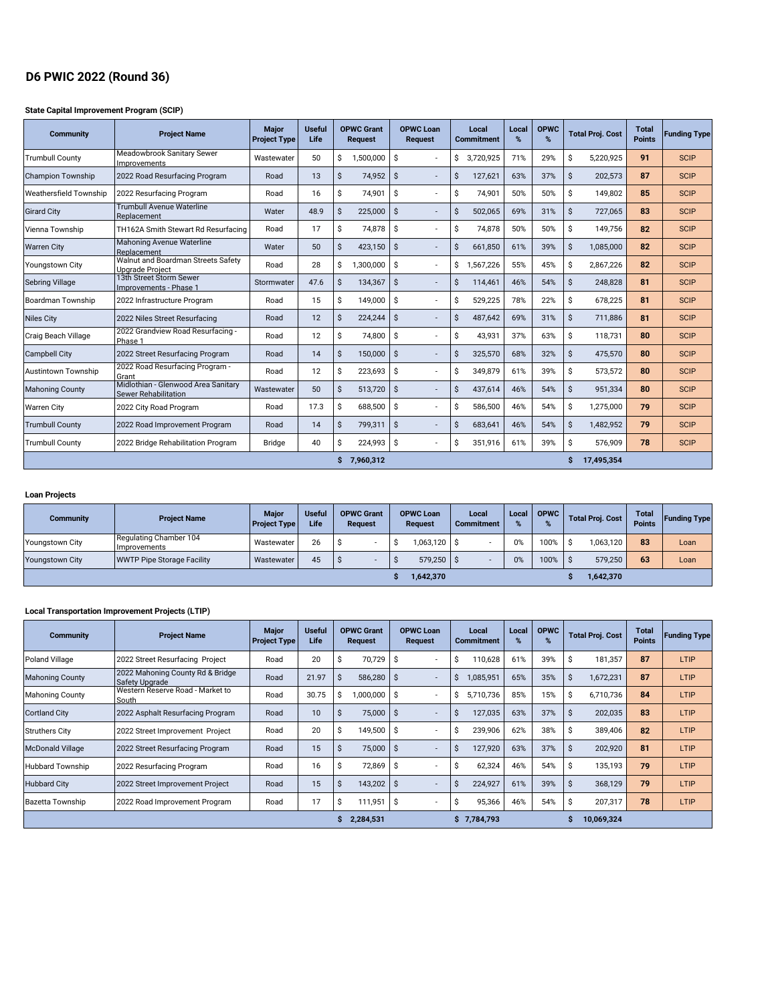# **D6 PWIC 2022 (Round 36)**

## **State Capital Improvement Program (SCIP)**

| <b>Community</b>              | <b>Project Name</b>                                                | <b>Major</b><br><b>Project Type</b> | <b>Useful</b><br>Life |                    | <b>OPWC Grant</b><br><b>Request</b> |    | <b>OPWC Loan</b><br><b>Request</b> |    | Local<br><b>Commitment</b> | Local<br>% | <b>OPWC</b><br>% | <b>Total Proj. Cost</b> |            | <b>Total</b><br><b>Points</b> | <b>Funding Type</b> |
|-------------------------------|--------------------------------------------------------------------|-------------------------------------|-----------------------|--------------------|-------------------------------------|----|------------------------------------|----|----------------------------|------------|------------------|-------------------------|------------|-------------------------------|---------------------|
| <b>Trumbull County</b>        | Meadowbrook Sanitary Sewer<br>Improvements                         | Wastewater                          | 50                    | \$                 | 1,500,000                           | Ŝ. |                                    | S. | 3.720.925                  | 71%        | 29%              | Ŝ.                      | 5,220,925  | 91                            | <b>SCIP</b>         |
| <b>Champion Township</b>      | 2022 Road Resurfacing Program                                      | Road                                | 13                    | Ŝ.                 | 74,952                              | Ŝ. |                                    | Ŝ. | 127,621                    | 63%        | 37%              | Ŝ.                      | 202,573    | 87                            | <b>SCIP</b>         |
| <b>Weathersfield Township</b> | 2022 Resurfacing Program                                           | Road                                | 16                    | \$                 | 74,901                              | Ŝ. |                                    | \$ | 74,901                     | 50%        | 50%              | \$                      | 149,802    | 85                            | <b>SCIP</b>         |
| <b>Girard City</b>            | Trumbull Avenue Waterline<br>Replacement                           | Water                               | 48.9                  | $\dot{\mathsf{S}}$ | 225.000                             | Ŝ. |                                    | \$ | 502,065                    | 69%        | 31%              | Ŝ.                      | 727,065    | 83                            | <b>SCIP</b>         |
| Vienna Township               | TH162A Smith Stewart Rd Resurfacing                                | Road                                | 17                    | \$                 | 74.878                              | Ŝ. |                                    | Ŝ. | 74.878                     | 50%        | 50%              | Ŝ.                      | 149.756    | 82                            | <b>SCIP</b>         |
| <b>Warren City</b>            | Mahoning Avenue Waterline<br>Replacement                           | Water                               | 50                    | Ŝ.                 | 423.150                             | Ŝ. |                                    | Ŝ. | 661.850                    | 61%        | 39%              | Ŝ.                      | 1,085,000  | 82                            | <b>SCIP</b>         |
| <b>Youngstown City</b>        | Walnut and Boardman Streets Safety<br><b>Upgrade Project</b>       | Road                                | 28                    | \$                 | 1.300.000                           | Ŝ. |                                    | Ŝ. | 1,567,226                  | 55%        | 45%              | Ŝ.                      | 2,867,226  | 82                            | <b>SCIP</b>         |
| <b>Sebring Village</b>        | 13th Street Storm Sewer<br>Improvements - Phase 1                  | Stormwater                          | 47.6                  | $\hat{\mathsf{S}}$ | 134,367                             | Ŝ. |                                    | S. | 114,461                    | 46%        | 54%              | Ŝ.                      | 248,828    | 81                            | <b>SCIP</b>         |
| Boardman Township             | 2022 Infrastructure Program                                        | Road                                | 15                    | \$                 | 149,000                             | Ŝ. |                                    | Ŝ. | 529,225                    | 78%        | 22%              | Ŝ.                      | 678,225    | 81                            | <b>SCIP</b>         |
| <b>Niles City</b>             | 2022 Niles Street Resurfacing                                      | Road                                | 12                    | $\mathsf{\hat{S}}$ | 224,244                             | Ŝ. |                                    | Ś. | 487,642                    | 69%        | 31%              | Ŝ.                      | 711,886    | 81                            | <b>SCIP</b>         |
| Craig Beach Village           | 2022 Grandview Road Resurfacing -<br>Phase 1                       | Road                                | 12                    | Ŝ                  | 74,800                              | Ŝ  |                                    | Ŝ. | 43,931                     | 37%        | 63%              | Ŝ.                      | 118,731    | 80                            | <b>SCIP</b>         |
| <b>Campbell City</b>          | 2022 Street Resurfacing Program                                    | Road                                | 14                    | \$                 | 150,000                             | Ŝ. |                                    | S. | 325,570                    | 68%        | 32%              | Ŝ.                      | 475,570    | 80                            | <b>SCIP</b>         |
| Austintown Township           | 2022 Road Resurfacing Program -<br>Grant                           | Road                                | 12                    | \$                 | 223,693                             | Ŝ  |                                    | Ŝ. | 349.879                    | 61%        | 39%              | Ŝ.                      | 573,572    | 80                            | <b>SCIP</b>         |
| <b>Mahoning County</b>        | Midlothian - Glenwood Area Sanitary<br><b>Sewer Rehabilitation</b> | Wastewater                          | 50                    | $\mathsf{\hat{S}}$ | 513,720                             | Ŝ. |                                    | Ś. | 437,614                    | 46%        | 54%              | Ŝ.                      | 951,334    | 80                            | <b>SCIP</b>         |
| <b>Warren City</b>            | 2022 City Road Program                                             | Road                                | 17.3                  | \$                 | 688,500                             | Ŝ. |                                    | \$ | 586,500                    | 46%        | 54%              | \$                      | 1,275,000  | 79                            | <b>SCIP</b>         |
| <b>Trumbull County</b>        | 2022 Road Improvement Program                                      | Road                                | 14                    | Ŝ.                 | 799,311                             | Ŝ. |                                    | Ŝ. | 683,641                    | 46%        | 54%              | Ŝ.                      | 1,482,952  | 79                            | <b>SCIP</b>         |
| <b>Trumbull County</b>        | 2022 Bridge Rehabilitation Program                                 | <b>Bridge</b>                       | 40                    | Ŝ.                 | 224,993                             | S  |                                    | S. | 351,916                    | 61%        | 39%              | Ŝ.                      | 576,909    | 78                            | <b>SCIP</b>         |
|                               |                                                                    |                                     |                       |                    | 7,960,312                           |    |                                    |    |                            |            |                  | Ŝ                       | 17,495,354 |                               |                     |

## **Loan Projects**

| <b>Community</b>       | <b>Project Name</b>                    | <b>Major</b><br><b>Project Type</b> | <b>Useful</b><br>Life | <b>OPWC Grant</b><br><b>Request</b> |  | <b>OPWC Loan</b><br><b>Request</b> |              | Local<br><b>Commitment</b> |  | Local | <b>OPWC</b> | <b>Total Proj. Cost</b> |           | <b>Total</b><br><b>Points</b> | <b>Funding Type</b> |
|------------------------|----------------------------------------|-------------------------------------|-----------------------|-------------------------------------|--|------------------------------------|--------------|----------------------------|--|-------|-------------|-------------------------|-----------|-------------------------------|---------------------|
| Youngstown City        | Regulating Chamber 104<br>Improvements | Wastewater                          | 26                    | Ŝ                                   |  |                                    | 1,063,120 \$ |                            |  | 0%    | 100%        | S                       | 063.120   | 83                            | Loan                |
| <b>Youngstown City</b> | <b>WWTP Pipe Storage Facility</b>      | Wastewater                          | 45                    |                                     |  |                                    | 579,250      |                            |  | 0%    | 100%        |                         | 579.250   | 63                            | Loan                |
|                        |                                        |                                     |                       |                                     |  |                                    | 1,642,370    |                            |  |       |             |                         | 1,642,370 |                               |                     |

## **Local Transportation Improvement Projects (LTIP)**

| <b>Community</b>        | <b>Project Name</b>                                | <b>Major</b><br><b>Project Type</b> | <b>Useful</b><br>Life |              | <b>OPWC Grant</b><br>Request |     | <b>OPWC Loan</b><br><b>Request</b> |    | Local<br><b>Commitment</b> | Local<br>% | <b>OPWC</b><br>% | <b>Total Proj. Cost</b> |            | <b>Total</b><br><b>Points</b> | <b>Funding Type</b> |
|-------------------------|----------------------------------------------------|-------------------------------------|-----------------------|--------------|------------------------------|-----|------------------------------------|----|----------------------------|------------|------------------|-------------------------|------------|-------------------------------|---------------------|
| Poland Village          | 2022 Street Resurfacing Project                    | Road                                | 20                    | Ŝ            | 70,729                       | -S  |                                    | Ŝ  | 110,628                    | 61%        | 39%              | S.                      | 181,357    | 87                            | LTIP                |
| <b>Mahoning County</b>  | 2022 Mahoning County Rd & Bridge<br>Safety Upgrade | Road                                | 21.97                 | Ŝ            | 586,280                      | - S |                                    | S  | ,085,951                   | 65%        | 35%              | S                       | 1,672,231  | 87                            | LTIP                |
| <b>Mahoning County</b>  | Western Reserve Road - Market to<br>South          | Road                                | 30.75                 | Ŝ            | 1,000,000                    | -S  |                                    | Ŝ. | 5,710,736                  | 85%        | 15%              | S                       | 6,710,736  | 84                            | LTIP                |
| <b>Cortland City</b>    | 2022 Asphalt Resurfacing Program                   | Road                                | 10                    | S            | 75,000                       | S   |                                    | S  | 127,035                    | 63%        | 37%              |                         | 202,035    | 83                            | LTIP                |
| <b>Struthers City</b>   | 2022 Street Improvement Project                    | Road                                | 20                    | S            | 149,500                      | S   |                                    | S  | 239,906                    | 62%        | 38%              | s                       | 389,406    | 82                            | LTIP                |
| <b>McDonald Village</b> | 2022 Street Resurfacing Program                    | Road                                | 15                    | <sub>S</sub> | 75,000                       | -Ŝ  |                                    | Ŝ  | 127,920                    | 63%        | 37%              | s                       | 202,920    | 81                            | LTIP                |
| <b>Hubbard Township</b> | 2022 Resurfacing Program                           | Road                                | 16                    | S            | 72,869                       | S.  |                                    |    | 62,324                     | 46%        | 54%              | ১                       | 135,193    | 79                            | LTIP                |
| <b>Hubbard City</b>     | 2022 Street Improvement Project                    | Road                                | 15                    | Ŝ            | $143,202$ \$                 |     |                                    | S  | 224,927                    | 61%        | 39%              | 5                       | 368,129    | 79                            | LTIP                |
| <b>Bazetta Township</b> | 2022 Road Improvement Program                      | Road                                | 17                    | Ŝ            | 111,951                      | -S  |                                    | S  | 95,366                     | 46%        | 54%              | s                       | 207,317    | 78                            | LTIP                |
|                         |                                                    |                                     |                       |              | 2,284,531                    |     |                                    |    | \$7.784.793                |            |                  | s                       | 10,069,324 |                               |                     |